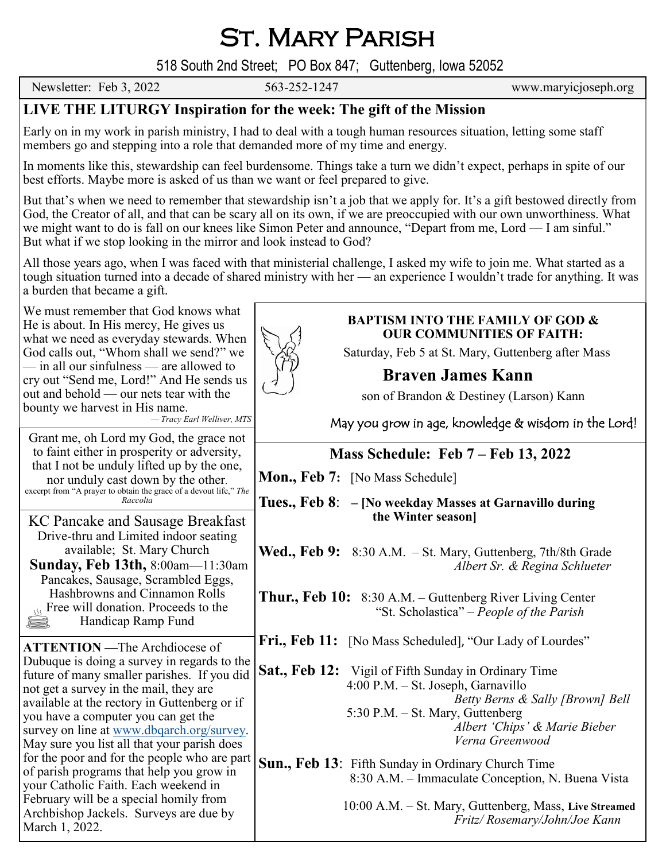St. Mary Parish

518 South 2nd Street; PO Box 847; Guttenberg, Iowa 52052

Newsletter: Feb 3, 2022 563-252-1247 www.maryicjoseph.org

## **LIVE THE LITURGY Inspiration for the week: The gift of the Mission**

Early on in my work in parish ministry, I had to deal with a tough human resources situation, letting some staff members go and stepping into a role that demanded more of my time and energy.

In moments like this, stewardship can feel burdensome. Things take a turn we didn't expect, perhaps in spite of our best efforts. Maybe more is asked of us than we want or feel prepared to give.

But that's when we need to remember that stewardship isn't a job that we apply for. It's a gift bestowed directly from God, the Creator of all, and that can be scary all on its own, if we are preoccupied with our own unworthiness. What we might want to do is fall on our knees like Simon Peter and announce, "Depart from me, Lord — I am sinful." But what if we stop looking in the mirror and look instead to God?

All those years ago, when I was faced with that ministerial challenge, I asked my wife to join me. What started as a tough situation turned into a decade of shared ministry with her — an experience I wouldn't trade for anything. It was a burden that became a gift.

We must remember that God knows what He is about. In His mercy, He gives us what we need as everyday stewards. When God calls out, "Whom shall we send?" we — in all our sinfulness — are allowed to cry out "Send me, Lord!" And He sends us out and behold — our nets tear with the bounty we harvest in His name. *— Tracy Earl Welliver, MTS*

KC Pancake and Sausage Breakfast Drive-thru and Limited indoor seating available; St. Mary Church **Sunday, Feb 13th,** 8:00am—11:30am Pancakes, Sausage, Scrambled Eggs, Hashbrowns and Cinnamon Rolls  $\frac{1}{125}$  Free will donation. Proceeds to the Handicap Ramp Fund

Grant me, oh Lord my God, the grace not to faint either in prosperity or adversity, that I not be unduly lifted up by the one, nor unduly cast down by the other. excerpt from "A prayer to obtain the grace of a devout life," *The Raccolta*

**ATTENTION —**The Archdiocese of Dubuque is doing a survey in regards to the future of many smaller parishes. If you did

not get a survey in the mail, they are available at the rectory in Guttenberg or if you have a computer you can get the survey on line at [www.dbqarch.org/survey.](http://www.dbqarch.org/survey)  May sure you list all that your parish does for the poor and for the people who are part of parish programs that help you grow in your Catholic Faith. Each weekend in February will be a special homily from Archbishop Jackels. Surveys are due by

March 1, 2022.



#### **BAPTISM INTO THE FAMILY OF GOD & OUR COMMUNITIES OF FAITH:**

Saturday, Feb 5 at St. Mary, Guttenberg after Mass

# **Braven James Kann**

son of Brandon & Destiney (Larson) Kann Ī

May you grow in age, knowledge & wisdom in the Lord!

### **Mass Schedule: Feb 7 – Feb 13, 2022**

**Mon., Feb 7:** [No Mass Schedule]

**Tues., Feb 8**: **– [No weekday Masses at Garnavillo during the Winter season]**

**Wed., Feb 9:** 8:30 A.M. – St. Mary, Guttenberg, 7th/8th Grade *Albert Sr. & Regina Schlueter*

**Thur., Feb 10:** 8:30 A.M. – Guttenberg River Living Center "St. Scholastica" – *People of the Parish*

Fri., Feb 11: [No Mass Scheduled], "Our Lady of Lourdes"

**Sat., Feb 12:** Vigil of Fifth Sunday in Ordinary Time 4:00 P.M. – St. Joseph, Garnavillo *Betty Berns & Sally [Brown] Bell* 5:30 P.M. – St. Mary, Guttenberg *Albert 'Chips' & Marie Bieber Verna Greenwood*

**Sun., Feb 13**: Fifth Sunday in Ordinary Church Time 8:30 A.M. – Immaculate Conception, N. Buena Vista

> 10:00 A.M. – St. Mary, Guttenberg, Mass, **Live Streamed** *Fritz/ Rosemary/John/Joe Kann*